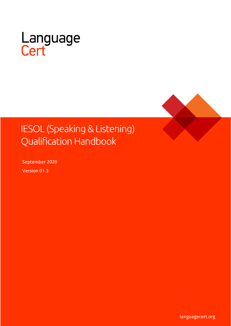

# **IESOL (Speaking & Listening) Qualification Handbook**

September 2020 Version 01.3

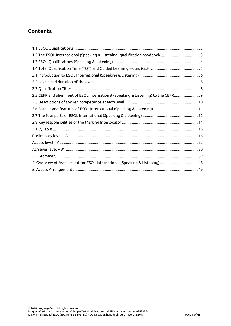# **Contents**

| 2.3 CEFR and alignment of ESOL International (Speaking & Listening) to the CEFR |  |
|---------------------------------------------------------------------------------|--|
|                                                                                 |  |
|                                                                                 |  |
|                                                                                 |  |
|                                                                                 |  |
|                                                                                 |  |
|                                                                                 |  |
|                                                                                 |  |
|                                                                                 |  |
|                                                                                 |  |
|                                                                                 |  |
|                                                                                 |  |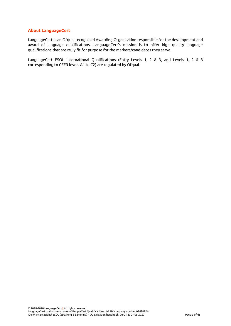## **About LanguageCert**

LanguageCert is an Ofqual recognised Awarding Organisation responsible for the development and award of language qualifications. LanguageCert's mission is to offer high quality language qualifications that are truly fit-for purpose for the markets/candidates they serve.

LanguageCert ESOL International Qualifications (Entry Levels 1, 2 & 3, and Levels 1, 2 & 3 corresponding to CEFR levels A1 to C2) are regulated by Ofqual.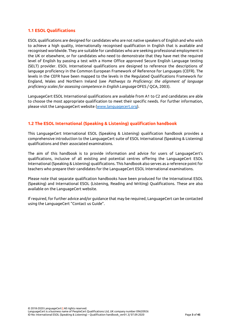## <span id="page-3-0"></span>**1.1 ESOL Qualifications**

ESOL qualifications are designed for candidates who are not native speakers of English and who wish to achieve a high quality, internationally recognised qualification in English that is available and recognised worldwide. They are suitable for candidates who are seeking professional employment in the UK or elsewhere, or for candidates who need to demonstrate that they have met the required level of English by passing a test with a Home Office approved Secure English Language testing (SELT) provider. ESOL International qualifications are designed to reference the descriptions of language proficiency in the Common European Framework of Reference for Languages (CEFR). The levels in the CEFR have been mapped to the levels in the Regulated Qualifications Framework for England, Wales and Northern Ireland (see *Pathways to Proficiency: the alignment of language proficiency scales for assessing competence in English Language* DFES / QCA, 2003).

LanguageCert ESOL International qualifications are available from A1 to C2 and candidates are able to choose the most appropriate qualification to meet their specific needs. For further information, please visit the LanguageCert website [\(www.languagecert.org\)](http://www.languagecert.org/).

# <span id="page-3-1"></span>**1.2 The ESOL International (Speaking & Listening) qualification handbook**

This LanguageCert International ESOL (Speaking & Listening) qualification handbook provides a comprehensive introduction to the LanguageCert suite of ESOL International (Speaking & Listening) qualifications and their associated examinations.

The aim of this handbook is to provide information and advice for users of LanguageCert's qualifications, inclusive of all existing and potential centres offering the LanguageCert ESOL International (Speaking & Listening) qualifications. This handbook also serves as a reference point for teachers who prepare their candidates for the LanguageCert ESOL International examinations.

Please note that separate qualification handbooks have been produced for the International ESOL (Speaking) and International ESOL (Listening, Reading and Writing) Qualifications. These are also available on the LanguageCert website.

<span id="page-3-2"></span>If required, for further advice and/or guidance that may be required, LanguageCert can be contacted using the LanguageCert "Contact us Guide".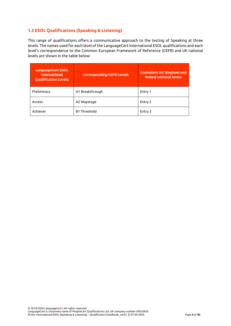# **1.3 ESOL Qualifications (Speaking & Listening)**

This range of qualifications offers a communicative approach to the testing of Speaking at three levels. The names used for each level of the LanguageCert International ESOL qualifications and each level's correspondence to the Common European Framework of Reference (CEFR) and UK national levels are shown in the table below:

<span id="page-4-0"></span>

| <b>LanguageCert ESOL</b><br><b>International</b><br><b>Qualification Levels</b> | <b>Corresponding CEFR Levels</b> | <b>Equivalent UK (England and</b><br><b>Wales)</b> national levels |
|---------------------------------------------------------------------------------|----------------------------------|--------------------------------------------------------------------|
| Preliminary                                                                     | A1 Breakthrough                  | Entry 1                                                            |
| Access                                                                          | A2 Waystage                      | Entry 2                                                            |
| Achiever                                                                        | <b>B1 Threshold</b>              | Entry 3                                                            |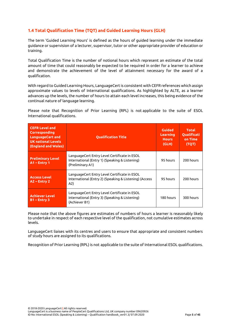# **1.4 Total Qualification Time (TQT) and Guided Learning Hours (GLH)**

The term 'Guided Learning Hours' is defined as the hours of guided learning under the immediate guidance or supervision of a lecturer, supervisor, tutor or other appropriate provider of education or training.

Total Qualification Time is the number of notional hours which represent an estimate of the total amount of time that could reasonably be expected to be required in order for a learner to achieve and demonstrate the achievement of the level of attainment necessary for the award of a qualification.

With regard to Guided Learning Hours, LanguageCert is consistent with CEFR references which assign approximate values to levels of International qualifications. As highlighted by ALTE, as a learner advances up the levels, the number of hours to attain each level increases, this being evidence of the continual nature of language learning.

Please note that Recognition of Prior Learning (RPL) is not applicable to the suite of ESOL International qualifications.

| <b>CEFR Level and</b><br><b>Corresponding</b><br>LanguageCert and<br><b>UK national Levels</b><br>(England and Wales) | <b>Qualification Title</b>                                                                                         | <b>Guided</b><br>Learning<br><b>Hours</b><br>(GLH) | Total<br><b>Oualificati</b><br>on Time<br>(TQT) |
|-----------------------------------------------------------------------------------------------------------------------|--------------------------------------------------------------------------------------------------------------------|----------------------------------------------------|-------------------------------------------------|
| <b>Preliminary Level</b><br>$A1$ – Entry 1                                                                            | LanguageCert Entry Level Certificate in ESOL<br>International (Entry 1) (Speaking & Listening)<br>(Preliminary A1) | 95 hours                                           | 200 hours                                       |
| <b>Access Level</b><br>$A2$ – Entry 2                                                                                 | LanguageCert Entry Level Certificate in ESOL<br>International (Entry 2) (Speaking & Listening) (Access<br>A2)      | 95 hours                                           | 200 hours                                       |
| <b>Achiever Level</b><br>$B1 -$ Entry 3                                                                               | LanguageCert Entry Level Certificate in ESOL<br>International (Entry 3) (Speaking & Listening)<br>(Achiever B1)    | 180 hours                                          | 300 hours                                       |

Please note that the above figures are estimates of numbers of hours a learner is reasonably likely to undertake in respect of each respective level of the qualification, not cumulative estimates across levels.

LanguageCert liaises with its centres and users to ensure that appropriate and consistent numbers of study hours are assigned to its qualifications.

Recognition of Prior Learning (RPL) is not applicable to the suite of International ESOL qualifications.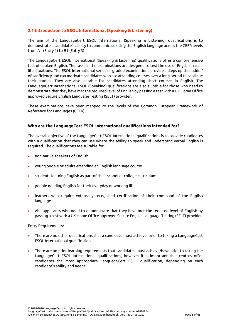# <span id="page-6-0"></span>**2.1 Introduction to ESOL International (Speaking & Listening)**

The aim of the LanguageCert ESOL International (Speaking & Listening) qualifications is to demonstrate a candidate's ability to communicate using the English language across the CEFR levels from A1 (Entry 1) to B1 (Entry 3).

The LanguageCert ESOL International (Speaking & Listening) qualifications offer a comprehensive test of spoken English. The tasks in the examinations are designed to test the use of English in reallife situations. The ESOL International series of graded examinations provides 'steps up the ladder' of proficiency and can motivate candidates who are attending courses over a long period to continue their studies. They are also suitable for candidates attending short courses in English. The LanguageCert International ESOL (Speaking) qualifications are also suitable for those who need to demonstrate that they have met the required level of English by passing a test with a UK Home Office approved Secure English Language Testing (SELT) provider.

These examinations have been mapped to the levels of the Common European Framework of Reference for Languages (CEFR).

## **Who are the LanguageCert ESOL International qualifications intended for?**

The overall objective of the LanguageCert ESOL International qualifications is to provide candidates with a qualification that they can use where the ability to speak and understand verbal English is required. The qualifications are suitable for:

- non-native speakers of English
- young people or adults attending an English language course
- students learning English as part of their school or college curriculum
- people needing English for their everyday or working life
- learners who require externally recognised certification of their command of the English language
- visa applicants who need to demonstrate that they have met the required level of English by passing a test with a UK Home Office approved Secure English Language Testing (SELT) provider.

Entry Requirements:

- There are no other qualifications that a candidate must achieve, prior to taking a LanguageCert ESOL International qualification.
- There are no prior learning requirements that candidates must achieve/have prior to taking the LanguageCert ESOL International qualifications, however it is important that centres offer candidates the most appropriate LanguageCert ESOL qualification, depending on each candidate's ability and needs.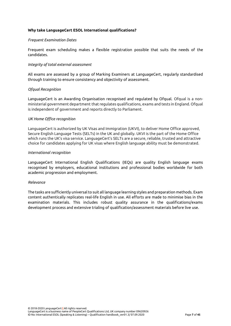## **Why take LanguageCert ESOL International qualifications?**

## *Frequent Examination Dates*

Frequent exam scheduling makes a flexible registration possible that suits the needs of the candidates.

## *Integrity of total external assessment*

All exams are assessed by a group of Marking Examiners at LanguageCert, regularly standardised through training to ensure consistency and objectivity of assessment.

## *Ofqual Recognition*

LanguageCert is an Awarding Organisation recognised and regulated by Ofqual. Ofqual is a nonministerial government department that regulates qualifications, exams and tests in England. Ofqual is independent of government and reports directly to Parliament.

## *UK Home Office recognition*

LanguageCert is authorized by UK Visas and Immigration (UKVI), to deliver Home Office approved, Secure English Language Tests (SELTs) in the UK and globally. UKVI is the part of the Home Office which runs the UK's visa service. LanguageCert's SELTs are a secure, reliable, trusted and attractive choice for candidates applying for UK visas where English language ability must be demonstrated.

## *International recognition*

LanguageCert International English Qualifications (IEQs) are quality English language exams recognised by employers, educational institutions and professional bodies worldwide for both academic progression and employment.

## *Relevance*

The tasks are sufficiently universal to suit all language learning styles and preparation methods. Exam content authentically replicates real-life English in use. All efforts are made to minimise bias in the examination materials. This includes robust quality assurance in the qualifications/exams development process and extensive trialing of qualification/assessment materials before live use.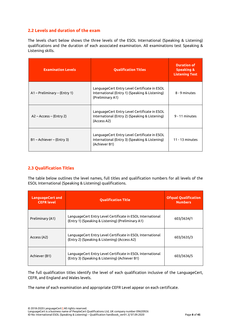# <span id="page-8-0"></span>**2.2 Levels and duration of the exam**

The levels chart below shows the three levels of the ESOL International (Speaking & Listening) qualifications and the duration of each associated examination. All examinations test Speaking & Listening skills.

| <b>Examination Levels</b>    | <b>Qualification Titles</b>                                                                                        | <b>Duration of</b><br><b>Speaking &amp;</b><br><b>Listening Test</b> |
|------------------------------|--------------------------------------------------------------------------------------------------------------------|----------------------------------------------------------------------|
| A1 – Preliminary – (Entry 1) | LanguageCert Entry Level Certificate in ESOL<br>International (Entry 1) (Speaking & Listening)<br>(Preliminary A1) | 8 - 9 minutes                                                        |
| $A2 - Access - (Entry 2)$    | LanguageCert Entry Level Certificate in ESOL<br>International (Entry 2) (Speaking & Listening)<br>(Access A2)      | 9 - 11 minutes                                                       |
| B1 – Achiever – (Entry 3)    | LanguageCert Entry Level Certificate in ESOL<br>International (Entry 3) (Speaking & Listening)<br>(Achiever B1)    | $11 - 13$ minutes                                                    |

# <span id="page-8-1"></span>**2.3 Qualification Titles**

The table below outlines the level names, full titles and qualification numbers for all levels of the ESOL International (Speaking & Listening) qualifications.

| <b>LanguageCert and</b><br><b>CEFR level</b> | <b>Oualification Title</b>                                                                                      | <b>Ofqual Qualification</b><br><b>Numbers</b> |
|----------------------------------------------|-----------------------------------------------------------------------------------------------------------------|-----------------------------------------------|
| Preliminary (A1)                             | LanguageCert Entry Level Certificate in ESOL International<br>(Entry 1) (Speaking & Listening) (Preliminary A1) | 603/3634/1                                    |
| Access (A2)                                  | LanguageCert Entry Level Certificate in ESOL International<br>(Entry 2) (Speaking & Listening) (Access A2)      | 603/3635/3                                    |
| Achiever (B1)                                | LanguageCert Entry Level Certificate in ESOL International<br>(Entry 3) (Speaking & Listening) (Achiever B1)    | 603/3636/5                                    |

The full qualification titles identify the level of each qualification inclusive of the LanguageCert, CEFR, and England and Wales levels.

The name of each examination and appropriate CEFR Level appear on each certificate.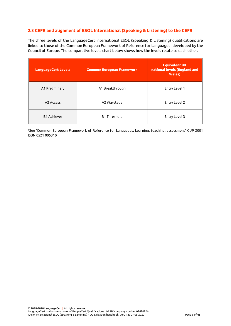# <span id="page-9-0"></span>**2.3 CEFR and alignment of ESOL International (Speaking & Listening) to the CEFR**

The three levels of the LanguageCert International ESOL (Speaking & Listening) qualifications are linked to those of the Common European Framework of Reference for Languages<sup>1</sup> developed by the Council of Europe. The comparative levels chart below shows how the levels relate to each other.

| <b>LanguageCert Levels</b> | <b>Common European Framework</b> | <b>Equivalent UK</b><br>national levels (England and<br><b>Wales</b> ) |
|----------------------------|----------------------------------|------------------------------------------------------------------------|
| A1 Preliminary             | A1 Breakthrough                  | Entry Level 1                                                          |
| A2 Access                  | A2 Waystage                      | Entry Level 2                                                          |
| <b>B1 Achiever</b>         | <b>B1 Threshold</b>              | Entry Level 3                                                          |

<sup>1</sup>See 'Common European Framework of Reference for Languages: Learning, teaching, assessment' CUP 2001 ISBN 0521 005310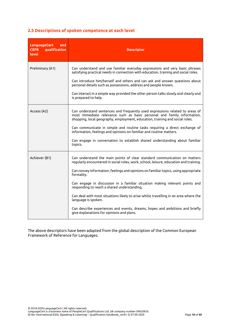# <span id="page-10-0"></span>**2.5 Descriptions of spoken competence at each level**

| <b>LanguageCert</b><br>and<br>qualification<br><b>CEFR</b><br>level | <b>Descriptor</b>                                                                                                                                                                                                                                                                                                                                                                                                                                                                                                                                                                                                                                 |
|---------------------------------------------------------------------|---------------------------------------------------------------------------------------------------------------------------------------------------------------------------------------------------------------------------------------------------------------------------------------------------------------------------------------------------------------------------------------------------------------------------------------------------------------------------------------------------------------------------------------------------------------------------------------------------------------------------------------------------|
| Preliminary (A1)                                                    | Can understand and use familiar everyday expressions and very basic phrases<br>satisfying practical needs in connection with education, training and social roles.<br>Can introduce him/herself and others and can ask and answer questions about<br>personal details such as possessions, address and people known.<br>Can interact in a simple way provided the other person talks slowly and clearly and<br>is prepared to help.                                                                                                                                                                                                               |
| Access (A2)                                                         | Can understand sentences and frequently used expressions related to areas of<br>most immediate relevance such as basic personal and family information,<br>shopping, local geography, employment, education, training and social roles.<br>Can communicate in simple and routine tasks requiring a direct exchange of<br>information, feelings and opinions on familiar and routine matters.<br>Can engage in conversation to establish shared understanding about familiar<br>topics.                                                                                                                                                            |
| Achiever (B1)                                                       | Can understand the main points of clear standard communication on matters<br>regularly encountered in social roles, work, school, leisure, education and training.<br>Can convey information, feelings and opinions on familiar topics, using appropriate<br>formality.<br>Can engage in discussion in a familiar situation making relevant points and<br>responding to reach a shared understanding.<br>Can deal with most situations likely to arise whilst travelling in an area where the<br>language is spoken.<br>Can describe experiences and events, dreams, hopes and ambitions and briefly<br>give explanations for opinions and plans. |

The above descriptors have been adapted from the global description of the Common European Framework of Reference for Languages.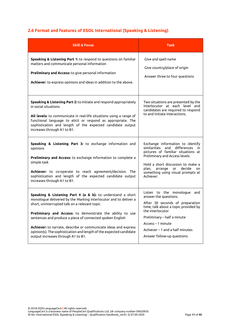# <span id="page-11-0"></span>**2.6 Format and features of ESOL International (Speaking & Listening)**

| <b>Skill &amp; Focus</b>                                                                                                                                                                                                                                                                                                                                                                                                                                                                  | Task                                                                                                                                                                                                                                                                               |  |
|-------------------------------------------------------------------------------------------------------------------------------------------------------------------------------------------------------------------------------------------------------------------------------------------------------------------------------------------------------------------------------------------------------------------------------------------------------------------------------------------|------------------------------------------------------------------------------------------------------------------------------------------------------------------------------------------------------------------------------------------------------------------------------------|--|
| Speaking & Listening Part 1: to respond to questions on familiar<br>matters and communicate personal information<br>Preliminary and Access: to give personal information<br>Achiever: to express opinions and ideas in addition to the above.                                                                                                                                                                                                                                             | Give and spell name<br>Give country/place of origin<br>Answer three to four questions                                                                                                                                                                                              |  |
| Speaking & Listening Part 2: to initiate and respond appropriately<br>in social situations<br>All levels: to communicate in real-life situations using a range of<br>functional language to elicit or respond as appropriate. The<br>sophistication and length of the expected candidate output<br>increases through A1 to B1.                                                                                                                                                            | Two situations are presented by the<br>interlocutor at each level and<br>candidates are required to respond<br>to and initiate interactions.                                                                                                                                       |  |
| Speaking & Listening Part 3: to exchange information and<br>opinions<br>Preliminary and Access: to exchange information to complete a<br>simple task<br>Achiever: to co-operate to reach agreement/decision. The<br>sophistication and length of the expected candidate output<br>increases through A1 to B1.                                                                                                                                                                             | Exchange information to identify<br>similarities<br>and differences<br>in.<br>pictures of familiar situations at<br>Preliminary and Access levels<br>Hold a short discussion to make a<br>arrange<br>decide<br>plan,<br>оr<br>on<br>something using visual prompts at<br>Achiever. |  |
| Speaking & Listening Part 4 (a & b): to understand a short<br>monologue delivered by the Marking Interlocutor and to deliver a<br>short, uninterrupted talk on a relevant topic<br>Preliminary and Access: to demonstrate the ability to use<br>sentences and produce a piece of connected spoken English<br>Achiever: to narrate, describe or communicate ideas and express<br>opinion(s). The sophistication and length of the expected candidate<br>output increases through A1 to B1. | Listen to the monologue and<br>answer the questions.<br>After 30 seconds of preparation<br>time, talk about a topic provided by<br>the interlocutor<br>Preliminary - half a minute<br>Access - 1 minute<br>Achiever - 1 and a half minutes<br>Answer follow-up questions           |  |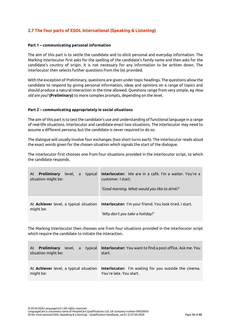# <span id="page-12-0"></span>**2.7 The four parts of ESOL International (Speaking & Listening)**

## **Part 1 – communicating personal information**

The aim of this part is to settle the candidate and to elicit personal and everyday information. The Marking Interlocutor first asks for the spelling of the candidate's family name and then asks for the candidate's country of origin. It is not necessary for any information to be written down. The interlocutor then selects further questions from the list provided.

With the exception of Preliminary, questions are given under topic headings. The questions allow the candidate to respond by giving personal information, ideas and opinions on a range of topics and should produce a natural interaction in the time allowed. Questions range from very simple, eg *How old are you?* **(Preliminary)** to more complex prompts, depending on the level.

## **Part 2 – communicating appropriately in social situations**

The aim of this part is to test the candidate's use and understanding of functional language in a range of real-life situations. Interlocutor and candidate enact two situations. The Interlocutor may need to assume a different persona, but the candidate is never required to do so.

The dialogue will usually involve four exchanges (two short turns each). The interlocutor reads aloud the exact words given for the chosen situation which signals the start of the dialogue.

The interlocutor first chooses one from four situations provided in the interlocutor script, to which the candidate responds.

| level, a typical<br><b>Preliminary</b><br>At<br>situation might be: | Interlocutor: We are in a café. I'm a waiter. You're a<br>customer. I start.<br>'Good morning. What would you like to drink?'                   |
|---------------------------------------------------------------------|-------------------------------------------------------------------------------------------------------------------------------------------------|
| might be:                                                           | At <b>Achiever</b> level, a typical situation <b>Interlocutor:</b> I'm your friend. You look tired. I start.<br>'Why don't you take a holiday?' |

The Marking Interlocutor then chooses one from four situations provided in the interlocutor script which require the candidate to initiate the interaction.

| <b>Preliminary</b><br>level, a typical<br>At<br>situation might be: | <b>Interlocutor:</b> You want to find a post office. Ask me. You<br>start.                                              |
|---------------------------------------------------------------------|-------------------------------------------------------------------------------------------------------------------------|
| might be:                                                           | At Achiever level, a typical situation Interlocutor: I'm waiting for you outside the cinema.<br>You're late. You start. |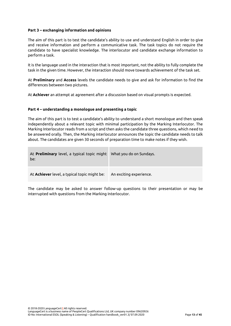## **Part 3 – exchanging information and opinions**

The aim of this part is to test the candidate's ability to use and understand English in order to give and receive information and perform a communicative task. The task topics do not require the candidate to have specialist knowledge. The interlocutor and candidate exchange information to perform a task.

It is the language used in the interaction that is most important, not the ability to fully complete the task in the given time. However, the interaction should move towards achievement of the task set.

At **Preliminary** and **Access** levels the candidate needs to give and ask for information to find the differences between two pictures.

At **Achiever** an attempt at agreement after a discussion based on visual prompts is expected.

## **Part 4 – understanding a monologue and presenting a topic**

The aim of this part is to test a candidate's ability to understand a short monologue and then speak independently about a relevant topic with minimal participation by the Marking Interlocutor. The Marking Interlocutor reads from a script and then asks the candidate three questions, which need to be answered orally. Then, the Marking interlocutor announces the topic the candidate needs to talk about. The candidates are given 30 seconds of preparation time to make notes if they wish.

| At <b>Preliminary</b> level, a typical topic might<br>be: | What you do on Sundays. |
|-----------------------------------------------------------|-------------------------|
| At <b>Achiever</b> level, a typical topic might be:       | An exciting experience. |

<span id="page-13-0"></span>The candidate may be asked to answer follow-up questions to their presentation or may be interrupted with questions from the Marking Interlocutor.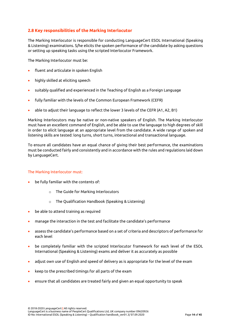# **2.8 Key responsibilities of the Marking Interlocutor**

The Marking Interlocutor is responsible for conducting LanguageCert ESOL International (Speaking & Listening) examinations. S/he elicits the spoken performance of the candidate by asking questions or setting up speaking tasks using the scripted Interlocutor Framework.

The Marking Interlocutor must be:

- fluent and articulate in spoken English
- highly skilled at eliciting speech
- suitably qualified and experienced in the Teaching of English as a Foreign Language
- fully familiar with the levels of the Common European Framework (CEFR)
- able to adjust their language to reflect the lower 3 levels of the CEFR (A1, A2, B1)

Marking Interlocutors may be native or non-native speakers of English. The Marking Interlocutor must have an excellent command of English, and be able to use the language to high degrees of skill in order to elicit language at an appropriate level from the candidate. A wide range of spoken and listening skills are tested: long turns, short turns, interactional and transactional language.

To ensure all candidates have an equal chance of giving their best performance, the examinations must be conducted fairly and consistently and in accordance with the rules and regulations laid down by LanguageCert.

## The Marking Interlocutor must:

- be fully familiar with the contents of:
	- o The Guide for Marking Interlocutors
	- o The Qualification Handbook (Speaking & Listening)
- be able to attend training as required
- manage the interaction in the test and facilitate the candidate's performance
- assess the candidate's performance based on a set of criteria and descriptors of performance for each level
- be completely familiar with the scripted Interlocutor framework for each level of the ESOL International (Speaking & Listening) exams and deliver it as accurately as possible
- adjust own use of English and speed of delivery as is appropriate for the level of the exam
- keep to the prescribed timings for all parts of the exam
- ensure that all candidates are treated fairly and given an equal opportunity to speak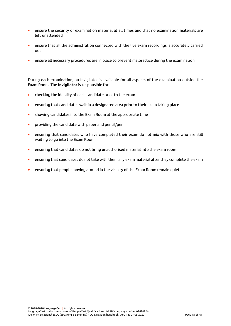- ensure the security of examination material at all times and that no examination materials are left unattended
- ensure that all the administration connected with the live exam recordings is accurately carried out
- ensure all necessary procedures are in place to prevent malpractice during the examination

During each examination, an Invigilator is available for all aspects of the examination outside the Exam Room. The **Invigilator** is responsible for:

- checking the identity of each candidate prior to the exam
- ensuring that candidates wait in a designated area prior to their exam taking place
- showing candidates into the Exam Room at the appropriate time
- providing the candidate with paper and pencil/pen
- ensuring that candidates who have completed their exam do not mix with those who are still waiting to go into the Exam Room
- ensuring that candidates do not bring unauthorised material into the exam room
- ensuring that candidates do not take with them any exam material after they complete the exam
- ensuring that people moving around in the vicinity of the Exam Room remain quiet.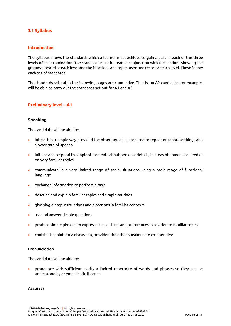## <span id="page-16-0"></span>**3.1 Syllabus**

## **Introduction**

The syllabus shows the standards which a learner must achieve to gain a pass in each of the three levels of the examination. The standards must be read in conjunction with the sections showing the grammar tested at each level and the functions and topics used and tested at each level. These follow each set of standards.

The standards set out in the following pages are cumulative. That is, an A2 candidate, for example, will be able to carry out the standards set out for A1 and A2.

# <span id="page-16-1"></span>**Preliminary level – A1**

## **Speaking**

The candidate will be able to:

- interact in a simple way provided the other person is prepared to repeat or rephrase things at a slower rate of speech
- initiate and respond to simple statements about personal details, in areas of immediate need or on very familiar topics
- communicate in a very limited range of social situations using a basic range of functional language
- exchange information to perform a task
- describe and explain familiar topics and simple routines
- give single-step instructions and directions in familiar contexts
- ask and answer simple questions
- produce simple phrases to express likes, dislikes and preferences in relation to familiar topics
- contribute points to a discussion, provided the other speakers are co-operative.

## **Pronunciation**

The candidate will be able to:

• pronounce with sufficient clarity a limited repertoire of words and phrases so they can be understood by a sympathetic listener.

## **Accuracy**

© 2018-2020 LanguageCert **|** All rights reserved. LanguageCert is a business name of PeopleCert Qualifications Ltd, UK company number 09620926 ID No: International ESOL (Speaking & Listening) – Qualification handbook\_ver01.3/ 07.09.2020 Page **16** of **45**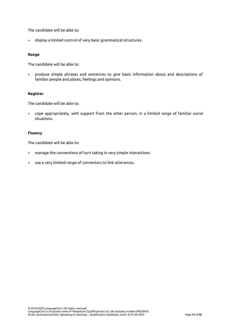The candidate will be able to:

• display a limited control of very basic grammatical structures.

## **Range**

The candidate will be able to:

• produce simple phrases and sentences to give basic information about and descriptions of familiar people and places, feelings and opinions.

## **Register**

The candidate will be able to:

• cope appropriately, with support from the other person, in a limited range of familiar social situations.

## **Fluency**

The candidate will be able to:

- manage the conventions of turn taking in very simple interactions
- use a very limited range of connectors to link utterances.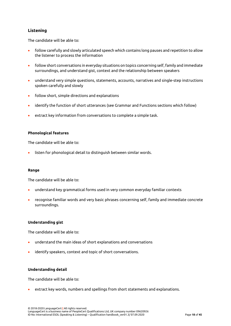# **Listening**

The candidate will be able to:

- follow carefully and slowly articulated speech which contains long pauses and repetition to allow the listener to process the information
- follow short conversations in everyday situations on topics concerning self, family and immediate surroundings, and understand gist, context and the relationship between speakers
- understand very simple questions, statements, accounts, narratives and single-step instructions spoken carefully and slowly
- follow short, simple directions and explanations
- identify the function of short utterances (see Grammar and Functions sections which follow)
- extract key information from conversations to complete a simple task.

## **Phonological features**

The candidate will be able to:

listen for phonological detail to distinguish between similar words.

## **Range**

The candidate will be able to:

- understand key grammatical forms used in very common everyday familiar contexts
- recognise familiar words and very basic phrases concerning self, family and immediate concrete surroundings.

## **Understanding gist**

The candidate will be able to:

- understand the main ideas of short explanations and conversations
- identify speakers, context and topic of short conversations.

## **Understanding detail**

The candidate will be able to:

• extract key words, numbers and spellings from short statements and explanations.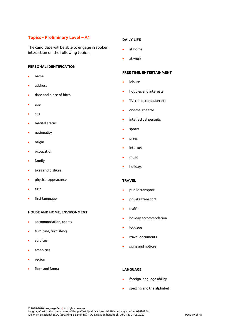# **Topics - Preliminary Level – A1**

The candidate will be able to engage in spoken interaction on the following topics.

## **PERSONAL IDENTIFICATION**

- name
- address
- date and place of birth
- age
- sex
- marital status
- nationality
- origin
- occupation
- family
- likes and dislikes
- physical appearance
- title
- first language

#### **HOUSE AND HOME, ENVI**R**ONMENT**

- accommodation, rooms
- furniture, furnishing
- services
- amenities
- region
- flora and fauna

#### **DAILY LIFE**

- at home
- at work

#### **FREE TIME, ENTERTAINMENT**

- **leisure**
- hobbies and interests
- TV, radio, computer etc
- cinema, theatre
- intellectual pursuits
- sports
- press
- internet
- music
- holidays

#### **TRAVEL**

- public transport
- private transport
- traffic
- holiday accommodation
- luggage
- travel documents
- signs and notices

## **LANGUAGE**

- foreign language ability
- spelling and the alphabet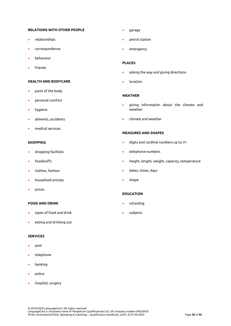#### **RELATIONS WITH OTHER PEOPLE**

- relationships
- correspondence
- behaviour
- **friends**

#### **HEALTH AND BODYCARE**

- parts of the body
- personal comfort
- hygiene
- ailments, accidents
- medical services

#### **SHOPPING**

- shopping facilities
- foodstuffs
- clothes, fashion
- household articles
- prices

#### **FOOD AND DRINK**

- types of food and drink
- eating and drinking out

## **SERVICES**

- post
- telephone
- banking
- police
- hospital, surgery
- garage
- petrol station
- emergency

#### **PLACES**

- asking the way and giving directions
- location

#### **WEATHER**

- giving information about the climate and weather
- climate and weather

#### **MEASURES AND SHAPES**

- digits and cardinal numbers up to 31
- telephone numbers
- height, length, weight, capacity, temperature
- dates, times, days
- shape

## **EDUCATION**

- schooling
- subjects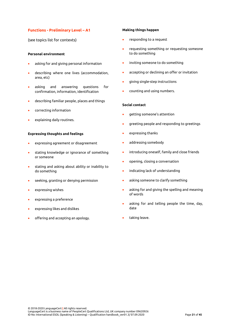## **Functions - Preliminary Level – A1**

(see topics list for contexts)

## **Personal environment**

- asking for and giving personal information
- describing where one lives (accommodation, area, etc)
- asking and answering questions for confirmation, information, identification
- describing familiar people, places and things
- correcting information
- explaining daily routines.

## **Expressing thoughts and feelings**

- expressing agreement or disagreement
- stating knowledge or ignorance of something or someone
- stating and asking about ability or inability to do something
- seeking, granting or denying permission
- expressing wishes
- expressing a preference
- expressing likes and dislikes
- offering and accepting an apology.

#### **Making things happen**

- responding to a request
- requesting something or requesting someone to do something
- inviting someone to do something
- accepting or declining an offer or invitation
- giving single-step instructions
- counting and using numbers.

#### **Social contact**

- getting someone's attention
- greeting people and responding to greetings
- expressing thanks
- addressing somebody
- introducing oneself, family and close friends
- opening, closing a conversation
- indicating lack of understanding
- asking someone to clarify something
- asking for and giving the spelling and meaning of words
- asking for and telling people the time, day, date
- taking leave.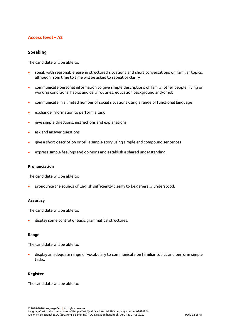# <span id="page-22-0"></span>**Access level – A2**

## **Speaking**

The candidate will be able to:

- speak with reasonable ease in structured situations and short conversations on familiar topics, although from time to time will be asked to repeat or clarify
- communicate personal information to give simple descriptions of family, other people, living or working conditions, habits and daily routines, education background and/or job
- communicate in a limited number of social situations using a range of functional language
- exchange information to perform a task
- give simple directions, instructions and explanations
- ask and answer questions
- give a short description or tell a simple story using simple and compound sentences
- express simple feelings and opinions and establish a shared understanding.

## **Pronunciation**

The candidate will be able to:

• pronounce the sounds of English sufficiently clearly to be generally understood.

## **Accuracy**

The candidate will be able to:

• display some control of basic grammatical structures.

## **Range**

The candidate will be able to:

• display an adequate range of vocabulary to communicate on familiar topics and perform simple tasks.

## **Register**

The candidate will be able to: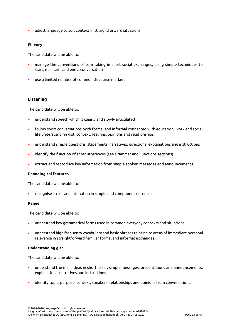• adjust language to suit context in straightforward situations.

## **Fluency**

The candidate will be able to:

- manage the conventions of turn taking in short social exchanges, using simple techniques to start, maintain, and end a conversation
- use a limited number of common discourse markers.

## **Listening**

The candidate will be able to:

- understand speech which is clearly and slowly articulated
- follow short conversations both formal and informal connected with education, work and social life understanding gist, context, feelings, opinions and relationships
- understand simple questions, statements, narratives, directions, explanations and instructions
- identify the function of short utterances (see Grammar and Functions sections)
- extract and reproduce key information from simple spoken messages and announcements.

## **Phonological features**

The candidate will be able to:

• recognise stress and intonation in simple and compound sentences

## **Range**

The candidate will be able to:

- understand key grammatical forms used in common everyday contexts and situations
- understand high frequency vocabulary and basic phrases relating to areas of immediate personal relevance in straightforward familiar formal and informal exchanges.

## **Understanding gist**

The candidate will be able to:

- understand the main ideas in short, clear, simple messages, presentations and announcements, explanations, narratives and instructions
- identify topic, purpose, context, speakers, relationships and opinions from conversations.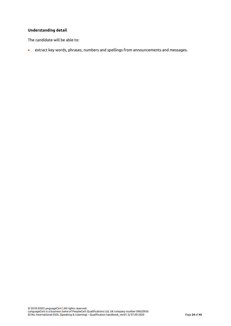## **Understanding detail**

The candidate will be able to:

• extract key words, phrases, numbers and spellings from announcements and messages.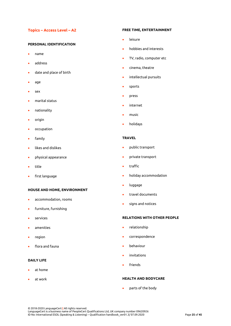## **Topics – Access Level – A2**

## **PERSONAL IDENTIFICATION**

- name
- address
- date and place of birth
- age
- sex
- marital status
- nationality
- origin
- occupation
- family
- likes and dislikes
- physical appearance
- title
- first language

## **HOUSE AND HOME, ENVIRONMENT**

- accommodation, rooms
- furniture, furnishing
- services
- amenities
- region
- flora and fauna

## **DAILY LIFE**

- at home
- at work

#### **FREE TIME, ENTERTAINMENT**

- leisure
- hobbies and interests
- TV, radio, computer etc
- cinema, theatre
- intellectual pursuits
- sports
- press
- internet
- music
- holidays

#### **TRAVEL**

- public transport
- private transport
- traffic
- holiday accommodation
- luggage
- travel documents
- signs and notices

#### **RELATIONS WITH OTHER PEOPLE**

- relationship
- correspondence
- behaviour
- invitations
- **friends**

## **HEALTH AND BODYCARE**

• parts of the body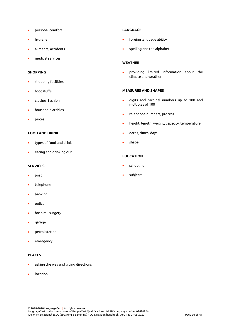- personal comfort
- hygiene
- ailments, accidents
- medical services

## **SHOPPING**

- shopping facilities
- foodstuffs
- clothes, fashion
- household articles
- prices

## **FOOD AND DRINK**

- types of food and drink
- eating and drinking out

#### **SERVICES**

- post
- telephone
- banking
- police
- hospital, surgery
- garage
- petrol station
- emergency

## **PLACES**

- asking the way and giving directions
- location

## **LANGUAGE**

- foreign language ability
- spelling and the alphabet

## **WEATHER**

• providing limited information about the climate and weather

#### **MEASURES AND SHAPES**

- digits and cardinal numbers up to 100 and multiples of 100
- telephone numbers, process
- height, length, weight, capacity, temperature
- dates, times, days
- shape

## **EDUCATION**

- schooling
- subjects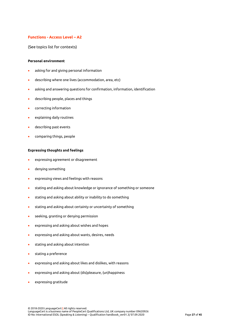## **Functions - Access Level – A2**

(See topics list for contexts)

#### **Personal environment**

- asking for and giving personal information
- describing where one lives (accommodation, area, etc)
- asking and answering questions for confirmation, information, identification
- describing people, places and things
- correcting information
- explaining daily routines
- describing past events
- comparing things, people

## **Expressing thoughts and feelings**

- expressing agreement or disagreement
- denying something
- expressing views and feelings with reasons
- stating and asking about knowledge or ignorance of something or someone
- stating and asking about ability or inability to do something
- stating and asking about certainty or uncertainty of something
- seeking, granting or denying permission
- expressing and asking about wishes and hopes
- expressing and asking about wants, desires, needs
- stating and asking about intention
- stating a preference
- expressing and asking about likes and dislikes, with reasons
- expressing and asking about (dis)pleasure, (un)happiness
- expressing gratitude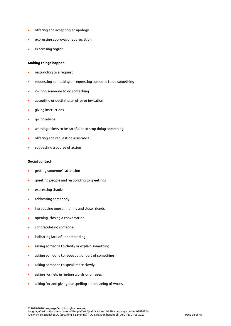- offering and accepting an apology
- expressing approval or appreciation
- expressing regret

#### **Making things happen**

- responding to a request
- requesting something or requesting someone to do something
- inviting someone to do something
- accepting or declining an offer or invitation
- giving instructions
- giving advice
- warning others to be careful or to stop doing something
- offering and requesting assistance
- suggesting a course of action

#### **Social contact**

- getting someone's attention
- greeting people and responding to greetings
- expressing thanks
- addressing somebody
- introducing oneself, family and close friends
- opening, closing a conversation
- congratulating someone
- indicating lack of understanding
- asking someone to clarify or explain something
- asking someone to repeat all or part of something
- asking someone to speak more slowly
- asking for help in finding words or phrases
- asking for and giving the spelling and meaning of words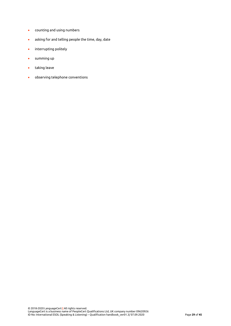- counting and using numbers
- asking for and telling people the time, day, date
- interrupting politely
- summing up
- taking leave
- observing telephone conventions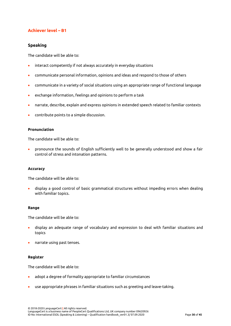# <span id="page-30-0"></span>**Achiever level – B1**

## **Speaking**

The candidate will be able to:

- interact competently if not always accurately in everyday situations
- communicate personal information, opinions and ideas and respond to those of others
- communicate in a variety of social situations using an appropriate range of functional language
- exchange information, feelings and opinions to perform a task
- narrate, describe, explain and express opinions in extended speech related to familiar contexts
- contribute points to a simple discussion.

## **Pronunciation**

The candidate will be able to:

• pronounce the sounds of English sufficiently well to be generally understood and show a fair control of stress and intonation patterns.

## **Accuracy**

The candidate will be able to:

• display a good control of basic grammatical structures without impeding errors when dealing with familiar topics.

## **Range**

The candidate will be able to:

- display an adequate range of vocabulary and expression to deal with familiar situations and topics
- narrate using past tenses.

## **Register**

The candidate will be able to:

- adopt a degree of formality appropriate to familiar circumstances
- use appropriate phrases in familiar situations such as greeting and leave-taking.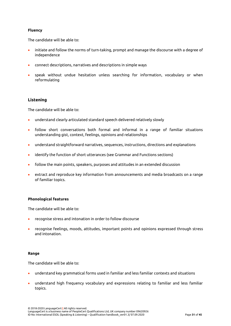## **Fluency**

The candidate will be able to:

- initiate and follow the norms of turn-taking, prompt and manage the discourse with a degree of independence
- connect descriptions, narratives and descriptions in simple ways
- speak without undue hesitation unless searching for information, vocabulary or when reformulating

## **Listening**

The candidate will be able to:

- understand clearly articulated standard speech delivered relatively slowly
- follow short conversations both formal and informal in a range of familiar situations understanding gist, context, feelings, opinions and relationships
- understand straightforward narratives, sequences, instructions, directions and explanations
- identify the function of short utterances (see Grammar and Functions sections)
- follow the main points, speakers, purposes and attitudes in an extended discussion
- extract and reproduce key information from announcements and media broadcasts on a range of familiar topics.

## **Phonological features**

The candidate will be able to:

- recognise stress and intonation in order to follow discourse
- recognise feelings, moods, attitudes, important points and opinions expressed through stress and intonation.

## **Range**

The candidate will be able to:

- understand key grammatical forms used in familiar and less familiar contexts and situations
- understand high frequency vocabulary and expressions relating to familiar and less familiar topics.

© 2018-2020 LanguageCert **|** All rights reserved. LanguageCert is a business name of PeopleCert Qualifications Ltd, UK company number 09620926 ID No: International ESOL (Speaking & Listening) – Qualification handbook\_ver01.3/ 07.09.2020 Page **31** of **45**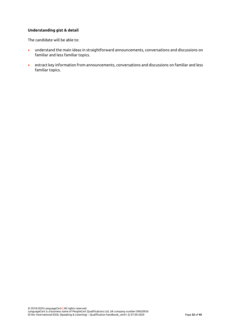## **Understanding gist & detail**

The candidate will be able to:

- understand the main ideas in straightforward announcements, conversations and discussions on familiar and less familiar topics.
- extract key information from announcements, conversations and discussions on familiar and less familiar topics.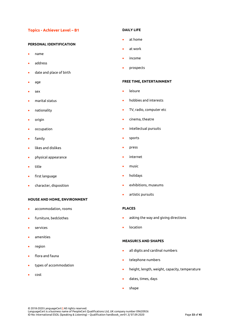## **Topics - Achiever Level – B1**

## **PERSONAL IDENTIFICATION**

- name
- address
- date and place of birth
- age
- sex
- marital status
- nationality
- origin
- occupation
- family
- likes and dislikes
- physical appearance
- title
- first language
- character, disposition

#### **HOUSE AND HOME, ENVIRONMENT**

- accommodation, rooms
- furniture, bedclothes
- services
- amenities
- region
- flora and fauna
- types of accommodation
- cost

#### **DAILY LIFE**

- at home
- at work
- income
- prospects

#### **FREE TIME, ENTERTAINMENT**

- **leisure**
- hobbies and interests
- TV, radio, computer etc
- cinema, theatre
- intellectual pursuits
- sports
- press
- internet
- music
- holidays
- exhibitions, museums
- artistic pursuits

## **PLACES**

- asking the way and giving directions
- location

## **MEASUR**E**S AND SHAPES**

- all digits and cardinal numbers
- telephone numbers
- height, length, weight, capacity, temperature
- dates, times, days
- shape

© 2018-2020 LanguageCert **|** All rights reserved.

LanguageCert is a business name of PeopleCert Qualifications Ltd, UK company number 09620926 ID No: International ESOL (Speaking & Listening) – Qualification handbook\_ver01.3/ 07.09.2020 Page **33** of **45**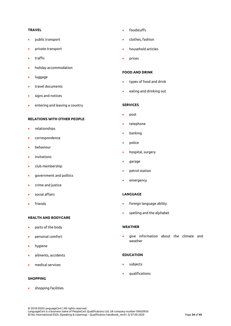## **TRAVEL**

- public transport
- private transport
- traffic
- holiday accommodation
- luggage
- travel documents
- signs and notices
- entering and leaving a country

## **RELATIONS WITH OTHER PEOPLE**

- relationships
- correspondence
- behaviour
- invitations
- club membership
- government and politics
- crime and justice
- social affairs
- **friends**

## **HEALTH AND BODYCARE**

- parts of the body
- personal comfort
- hygiene
- ailments, accidents
- medical services

#### **SHOPPING**

• shopping facilities

- foodstuffs
- clothes, fashion
- household articles
- prices

## **FOOD AND DRINK**

- types of food and drink
- eating and drinking out

#### **SERVICES**

- post
- telephone
- banking
- police
- hospital, surgery
- garage
- petrol station
- emergency

## **LANGUAGE**

- foreign language ability
- spelling and the alphabet

## **WEATHER**

• give information about the climate and weather

#### **EDUCATION**

- subjects
- qualifications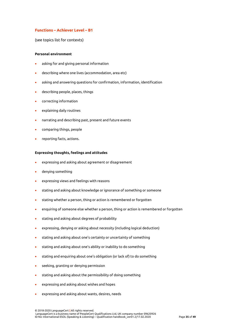## **Functions – Achiever Level – B1**

(see topics list for contexts)

#### **Personal environment**

- asking for and giving personal information
- describing where one lives (accommodation, area etc)
- asking and answering questions for confirmation, information, identification
- describing people, places, things
- correcting information
- explaining daily routines
- narrating and describing past, present and future events
- comparing things, people
- reporting facts, actions.

#### **Expressing thoughts, feelings and attitudes**

- expressing and asking about agreement or disagreement
- denying something
- expressing views and feelings with reasons
- stating and asking about knowledge or ignorance of something or someone
- stating whether a person, thing or action is remembered or forgotten
- enquiring of someone else whether a person, thing or action is remembered or forgotten
- stating and asking about degrees of probability
- expressing, denying or asking about necessity (including logical deduction)
- stating and asking about one's certainty or uncertainty of something
- stating and asking about one's ability or inability to do something
- stating and enquiring about one's obligation (or lack of) to do something
- seeking, granting or denying permission
- stating and asking about the permissibility of doing something
- expressing and asking about wishes and hopes
- expressing and asking about wants, desires, needs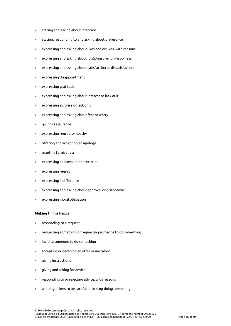- stating and asking about intention
- stating, responding to and asking about preference
- expressing and asking about likes and dislikes, with reasons
- expressing and asking about (dis)pleasure, (un)happiness
- expressing and asking about satisfaction or dissatisfaction
- expressing disappointment
- expressing gratitude
- expressing and asking about interest or lack of it
- expressing surprise or lack of it
- expressing and asking about fear or worry
- giving reassurance
- expressing regret, sympathy
- offering and accepting an apology
- granting forgiveness
- expressing approval or appreciation
- expressing regret
- expressing indifference
- expressing and asking about approval or disapproval
- expressing moral obligation

#### **Making things happen**

- responding to a request
- requesting something or requesting someone to do something
- inviting someone to do something
- accepting or declining an offer or invitation
- giving instructions
- giving and asking for advice
- responding to or rejecting advice, with reasons
- warning others to be careful or to stop doing something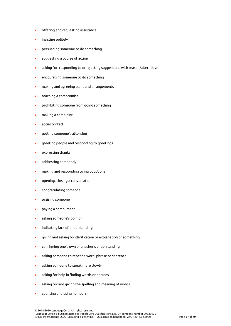- offering and requesting assistance
- insisting politely
- persuading someone to do something
- suggesting a course of action
- asking for, responding to or rejecting suggestions with reason/alternative
- encouraging someone to do something
- making and agreeing plans and arrangements
- reaching a compromise
- prohibiting someone from doing something
- making a complaint
- social contact
- getting someone's attention
- greeting people and responding to greetings
- expressing thanks
- addressing somebody
- making and responding to introductions
- opening, closing a conversation
- congratulating someone
- praising someone
- paying a compliment
- asking someone's opinion
- indicating lack of understanding
- giving and asking for clarification or explanation of something
- confirming one's own or another's understanding
- asking someone to repeat a word, phrase or sentence
- asking someone to speak more slowly
- asking for help in finding words or phrases
- asking for and giving the spelling and meaning of words
- counting and using numbers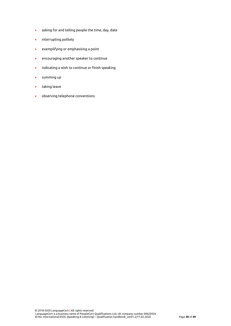- asking for and telling people the time, day, date
- interrupting politely
- exemplifying or emphasising a point
- encouraging another speaker to continue
- indicating a wish to continue or finish speaking
- summing up
- taking leave
- observing telephone conventions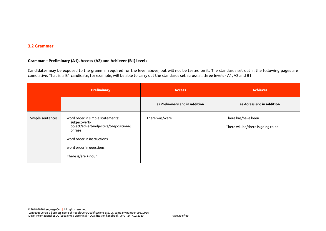## **3.2 Grammar**

## **Grammar – Preliminary (A1), Access (A2) and Achiever (B1) levels**

Candidates may be exposed to the grammar required for the level above, but will not be tested on it. The standards set out in the following pages are cumulative. That is, a B1 candidate, for example, will be able to carry out the standards set across all three levels - A1, A2 and B1

<span id="page-39-0"></span>

|                  | <b>Preliminary</b>                                                                                                                                                                     | <b>Access</b>                  | <b>Achiever</b>                                           |
|------------------|----------------------------------------------------------------------------------------------------------------------------------------------------------------------------------------|--------------------------------|-----------------------------------------------------------|
|                  |                                                                                                                                                                                        | as Preliminary and in addition | as Access and in addition                                 |
| Simple sentences | word order in simple statements:<br>subject-verb-<br>object/adverb/adjective/prepositional<br>phrase<br>word order in instructions<br>word order in questions<br>There is/are $+$ noun | There was/were                 | There has/have been<br>There will be/there is going to be |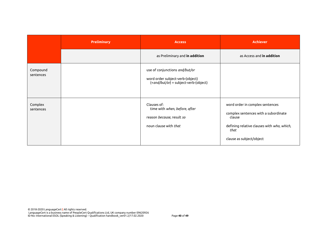|                       | <b>Preliminary</b> | <b>Access</b>                                                                                               | <b>Achiever</b>                                                                                                                                                     |
|-----------------------|--------------------|-------------------------------------------------------------------------------------------------------------|---------------------------------------------------------------------------------------------------------------------------------------------------------------------|
|                       |                    | as Preliminary and in addition                                                                              | as Access and in addition                                                                                                                                           |
| Compound<br>sentences |                    | use of conjunctions and/but/or<br>word order subject-verb-(object)<br>(+and/but/or) + subject-verb-(object) |                                                                                                                                                                     |
| Complex<br>sentences  |                    | Clauses of:<br>time with when, before, after<br>reason because, result so<br>noun clause with that          | word order in complex sentences<br>complex sentences with a subordinate<br>clause<br>defining relative clauses with who, which,<br>that<br>clause as subject/object |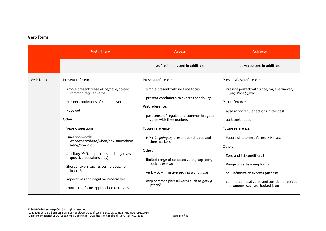## **Verb forms**

|            | <b>Preliminary</b>                                                                                                                                                                                                                                                                                                                                     | <b>Access</b>                                                                                                                                                                                                                                                                                                                                                                         | <b>Achiever</b>                                                                                                                                                                                                                                                                                                         |
|------------|--------------------------------------------------------------------------------------------------------------------------------------------------------------------------------------------------------------------------------------------------------------------------------------------------------------------------------------------------------|---------------------------------------------------------------------------------------------------------------------------------------------------------------------------------------------------------------------------------------------------------------------------------------------------------------------------------------------------------------------------------------|-------------------------------------------------------------------------------------------------------------------------------------------------------------------------------------------------------------------------------------------------------------------------------------------------------------------------|
|            |                                                                                                                                                                                                                                                                                                                                                        | as Preliminary and in addition                                                                                                                                                                                                                                                                                                                                                        | as Access and in addition                                                                                                                                                                                                                                                                                               |
| Verb forms | Present reference:                                                                                                                                                                                                                                                                                                                                     | Present reference:                                                                                                                                                                                                                                                                                                                                                                    | Present/Past reference:                                                                                                                                                                                                                                                                                                 |
|            | simple present tense of be/have/do and<br>common regular verbs<br>present continuous of common verbs<br>Have got<br>Other:<br>Yes/no questions<br>Question words:<br>who/what/where/when/how much/how<br>many/how old<br>Auxiliary 'do' for questions and negatives<br>(positive questions only)<br>Short answers such as yes he does, no I<br>haven't | simple present with no time focus<br>present continuous to express continuity<br>Past reference:<br>past tense of regular and common irregular<br>verbs with time markers<br>Future reference:<br>$NP + be going to$ , present continuous and<br>time markers<br>Other:<br>limited range of common verbs, -ing form,<br>such as like, go<br>verb + to + infinitive such as want, hope | Present perfect with since/for/ever/never,<br>yet/already, just<br>Past reference:<br>used to for regular actions in the past<br>past continuous<br>Future reference:<br>Future simple verb forms, NP + will<br>Other:<br>Zero and 1st conditional<br>Range of verbs + -ing forms<br>to + infinitive to express purpose |
|            | imperatives and negative imperatives<br>contracted forms appropriate to this level                                                                                                                                                                                                                                                                     | very common phrasal verbs such as get up,<br>get off                                                                                                                                                                                                                                                                                                                                  | common phrasal verbs and position of object<br>pronouns, such as I looked it up                                                                                                                                                                                                                                         |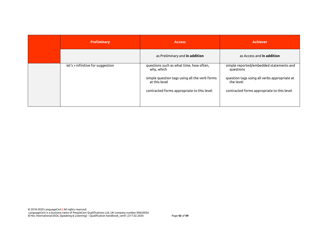| <b>Preliminary</b>                | <b>Access</b>                                                  | <b>Achiever</b>                                           |
|-----------------------------------|----------------------------------------------------------------|-----------------------------------------------------------|
|                                   | as Preliminary and in addition                                 | as Access and <b>in addition</b>                          |
| $let's + infinite for suggestion$ | questions such as what time, how often,<br>why, which          | simple reported/embedded statements and<br>questions      |
|                                   | simple question tags using all the verb forms<br>at this level | question tags using all verbs appropriate at<br>the level |
|                                   | contracted forms appropriate to this level                     | contracted forms appropriate to this level                |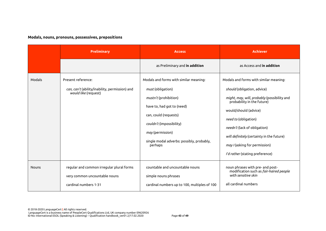## **Modals, nouns, pronouns, possessives, prepositions**

|              | <b>Preliminary</b>                                                                                  | <b>Access</b>                                                                                                                                                                                                                                       | <b>Achiever</b>                                                                                                                                                                                                                                                                                                                                      |
|--------------|-----------------------------------------------------------------------------------------------------|-----------------------------------------------------------------------------------------------------------------------------------------------------------------------------------------------------------------------------------------------------|------------------------------------------------------------------------------------------------------------------------------------------------------------------------------------------------------------------------------------------------------------------------------------------------------------------------------------------------------|
|              |                                                                                                     | as Preliminary and in addition                                                                                                                                                                                                                      | as Access and in addition                                                                                                                                                                                                                                                                                                                            |
| Modals       | Present reference:<br>can, can't (ability/inability, permission) and<br>would like (request)        | Modals and forms with similar meaning:<br>must (obligation)<br>mustn't (prohibition)<br>have to, had got to (need)<br>can, could (requests)<br>couldn't (impossibility)<br>may (permission)<br>single modal adverbs: possibly, probably,<br>perhaps | Modals and forms with similar meaning:<br>should (obligation, advice)<br>might, may, will, probably (possibility and<br>probability in the future)<br>would/should (advice)<br>need to (obligation)<br>needn't (lack of obligation)<br>will definitely (certainty in the future)<br>may / (asking for permission)<br>I'd rather (stating preference) |
| <b>Nouns</b> | regular and common irregular plural forms<br>very common uncountable nouns<br>cardinal numbers 1-31 | countable and uncountable nouns<br>simple nouns phrases<br>cardinal numbers up to 100, multiples of 100                                                                                                                                             | noun phrases with pre- and post-<br>modification such as fair-haired people<br>with sensitive skin<br>all cardinal numbers                                                                                                                                                                                                                           |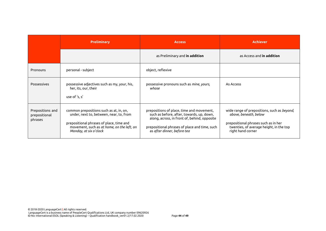|                                              | <b>Preliminary</b>                                                                                                                                                                                     | <b>Access</b>                                                                                                                                                                                                          | <b>Achiever</b>                                                                                                                                                              |
|----------------------------------------------|--------------------------------------------------------------------------------------------------------------------------------------------------------------------------------------------------------|------------------------------------------------------------------------------------------------------------------------------------------------------------------------------------------------------------------------|------------------------------------------------------------------------------------------------------------------------------------------------------------------------------|
|                                              |                                                                                                                                                                                                        | as Preliminary and in addition                                                                                                                                                                                         | as Access and in addition                                                                                                                                                    |
| Pronouns                                     | personal - subject                                                                                                                                                                                     | object, reflexive                                                                                                                                                                                                      |                                                                                                                                                                              |
| <b>Possessives</b>                           | possessive adjectives such as my, your, his,<br>her, its, our, their<br>use of 's, s'                                                                                                                  | possessive pronouns such as <i>mine</i> , yours,<br>whose                                                                                                                                                              | As Access                                                                                                                                                                    |
| Prepositions and<br>prepositional<br>phrases | common prepositions such as at, in, on,<br>under, next to, between, near, to, from<br>prepositional phrases of place, time and<br>movement, such as at home, on the left, on<br>Monday, at six o'clock | prepositions of place, time and movement,<br>such as before, after, towards, up, down,<br>along, across, in front of, behind, opposite<br>prepositional phrases of place and time, such<br>as after dinner, before tea | wide range of prepositions, such as beyond,<br>above, beneath, below<br>prepositional phrases such as in her<br>twenties, of average height, in the top<br>right hand corner |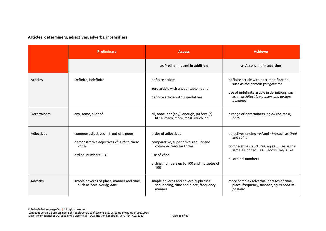# **Articles, determiners, adjectives, adverbs, intensifiers**

|                 | <b>Preliminary</b>                                                                                                   | <b>Access</b>                                                                                                                                              | <b>Achiever</b>                                                                                                                                                                       |
|-----------------|----------------------------------------------------------------------------------------------------------------------|------------------------------------------------------------------------------------------------------------------------------------------------------------|---------------------------------------------------------------------------------------------------------------------------------------------------------------------------------------|
|                 |                                                                                                                      | as Preliminary and in addition                                                                                                                             | as Access and <b>in addition</b>                                                                                                                                                      |
| <b>Articles</b> | Definite, indefinite                                                                                                 | definite article<br>zero article with uncountable nouns<br>definite article with superlatives                                                              | definite article with post-modification,<br>such as the present you gave me<br>use of indefinite article in definitions, such<br>as an architect is a person who designs<br>buildings |
| Determiners     | any, some, a lot of                                                                                                  | all, none, not (any), enough, (a) few, (a)<br>little, many, more, most, much, no                                                                           | a range of determiners, eg all the, most,<br>both                                                                                                                                     |
| Adjectives      | common adjectives in front of a noun<br>demonstrative adjectives this, that, these,<br>those<br>ordinal numbers 1-31 | order of adjectives<br>comparative, superlative, regular and<br>common irregular forms<br>use of than<br>ordinal numbers up to 100 and multiples of<br>100 | adjectives ending -ed and - ing such as tired<br>and <i>tiring</i><br>comparative structures, eg asas, is the<br>same as, not soas, looks like/is like<br>all ordinal numbers         |
| Adverbs         | simple adverbs of place, manner and time,<br>such as here, slowly, now                                               | simple adverbs and adverbial phrases:<br>sequencing, time and place, frequency,<br>manner                                                                  | more complex adverbial phrases of time,<br>place, frequency, manner, eg as soon as<br>possible                                                                                        |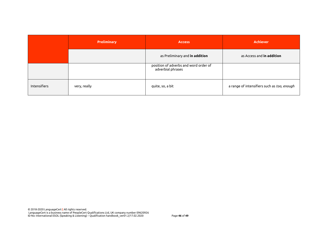|              | <b>Preliminary</b> | <b>Access</b>                                              | <b>Achiever</b>                             |
|--------------|--------------------|------------------------------------------------------------|---------------------------------------------|
|              |                    | as Preliminary and in addition                             | as Access and in addition                   |
|              |                    | position of adverbs and word order of<br>adverbial phrases |                                             |
| Intensifiers | very, really       | quite, so, a bit                                           | a range of intensifiers such as too, enough |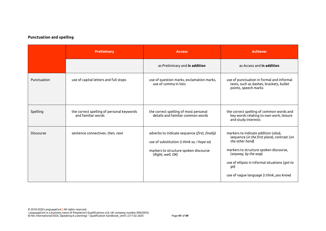# **Punctuation and spelling**

|             | <b>Preliminary</b>                                              | <b>Access</b>                                                                                                                                              | <b>Achiever</b>                                                                                                                                                                                                                                                                |
|-------------|-----------------------------------------------------------------|------------------------------------------------------------------------------------------------------------------------------------------------------------|--------------------------------------------------------------------------------------------------------------------------------------------------------------------------------------------------------------------------------------------------------------------------------|
|             |                                                                 | as Preliminary and in addition                                                                                                                             | as Access and in addition                                                                                                                                                                                                                                                      |
| Punctuation | use of capital letters and full stops                           | use of question marks, exclamation marks,<br>use of comma in lists                                                                                         | use of punctuation in formal and informal<br>texts, such as dashes, brackets, bullet<br>points, speech marks                                                                                                                                                                   |
| Spelling    | the correct spelling of personal keywords<br>and familiar words | the correct spelling of most personal<br>details and familiar common words                                                                                 | the correct spelling of common words and<br>key words relating to own work, leisure<br>and study interests                                                                                                                                                                     |
| Discourse   | sentence connectives: then, next                                | adverbs to indicate sequence (first, finally)<br>use of substitution (I think so, I hope so)<br>markers to structure spoken discourse<br>(Right, well, OK) | markers to indicate addition (also),<br>sequence (in the first place), contrast (on<br>the other hand)<br>markers to structure spoken discourse,<br>(anyway, by the way)<br>use of ellipsis in informal situations (got to<br>go)<br>use of vague language (I think, you know) |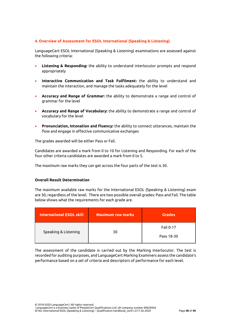## <span id="page-48-0"></span>**4. Overview of Assessment for ESOL International (Speaking & Listening)**

LanguageCert ESOL International (Speaking & Listening) examinations are assessed against the following criteria:

- **Listening & Responding:** the ability to understand interlocutor prompts and respond appropriately
- **Interactive Communication and Task Fulfilment:** the ability to understand and maintain the interaction, and manage the tasks adequately for the level
- **Accuracy and Range of Grammar:** the ability to demonstrate a range and control of grammar for the level
- **Accuracy and Range of Vocabulary:** the ability to demonstrate a range and control of vocabulary for the level
- **Pronunciation, Intonation and Fluency:** the ability to connect utterances, maintain the flow and engage in effective communicative exchanges

The grades awarded will be either Pass or Fail.

Candidates are awarded a mark from 0 to 10 for Listening and Responding. For each of the four other criteria candidates are awarded a mark from 0 to 5.

The maximum raw marks they can get across the four parts of the test is 30.

## **Overall Result Determination**

The maximum available raw marks for the International ESOL (Speaking & Listening) exam are 30, regardless of the level. There are two possible overall grades: Pass and Fail. The table below shows what the requirements for each grade are.

| <b>International ESOL skill</b> | <b>Maximum raw marks</b> | <b>Grades</b>    |
|---------------------------------|--------------------------|------------------|
|                                 |                          | <b>Fail 0-17</b> |
| Speaking & Listening            | 30                       | Pass 18-30       |

<span id="page-48-1"></span>The assessment of the candidate is carried out by the Marking Interlocutor. The test is recorded for auditing purposes, and LanguageCert Marking Examiners assess the candidate's performance based on a set of criteria and descriptors of performance for each level.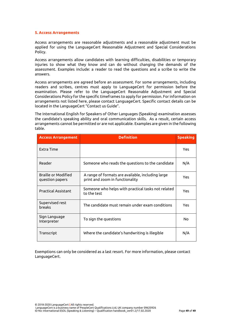#### **5. Access Arrangements**

Access arrangements are reasonable adjustments and a reasonable adjustment must be applied for using the LanguageCert Reasonable Adjustment and Special Considerations Policy.

Access arrangements allow candidates with learning difficulties, disabilities or temporary injuries to show what they know and can do without changing the demands of the assessment. Examples include: a reader to read the questions and a scribe to write the answers.

Access arrangements are agreed before an assessment. For some arrangements, including readers and scribes, centres must apply to LanguageCert for permission before the examination. Please refer to the LanguageCert Reasonable Adjustment and Special Considerations Policy for the specific timeframes to apply for permission. For information on arrangements not listed here, please contact LanguageCert. Specific contact details can be located in the LanguageCert "Contact us Guide".

The International English for Speakers of Other Languages (Speaking) examination assesses the candidate's speaking ability and oral communication skills. As a result, certain access arrangements cannot be permitted or are not applicable. Examples are given in the following table.

| <b>Access Arrangement</b>                     | <b>Definition</b>                                                                    | <b>Speaking</b> |
|-----------------------------------------------|--------------------------------------------------------------------------------------|-----------------|
| Extra Time                                    |                                                                                      | <b>Yes</b>      |
| Reader                                        | Someone who reads the questions to the candidate                                     | N/A             |
| <b>Braille or Modified</b><br>question papers | A range of formats are available, including large<br>print and zoom in functionality | Yes             |
| <b>Practical Assistant</b>                    | Someone who helps with practical tasks not related<br>to the test                    | <b>Yes</b>      |
| Supervised rest<br>breaks                     | The candidate must remain under exam conditions                                      | <b>Yes</b>      |
| Sign Language<br>Interpreter                  | To sign the questions                                                                | No              |
| Transcript                                    | Where the candidate's handwriting is illegible                                       | N/A             |

Exemptions can only be considered as a last resort. For more information, please contact LanguageCert.